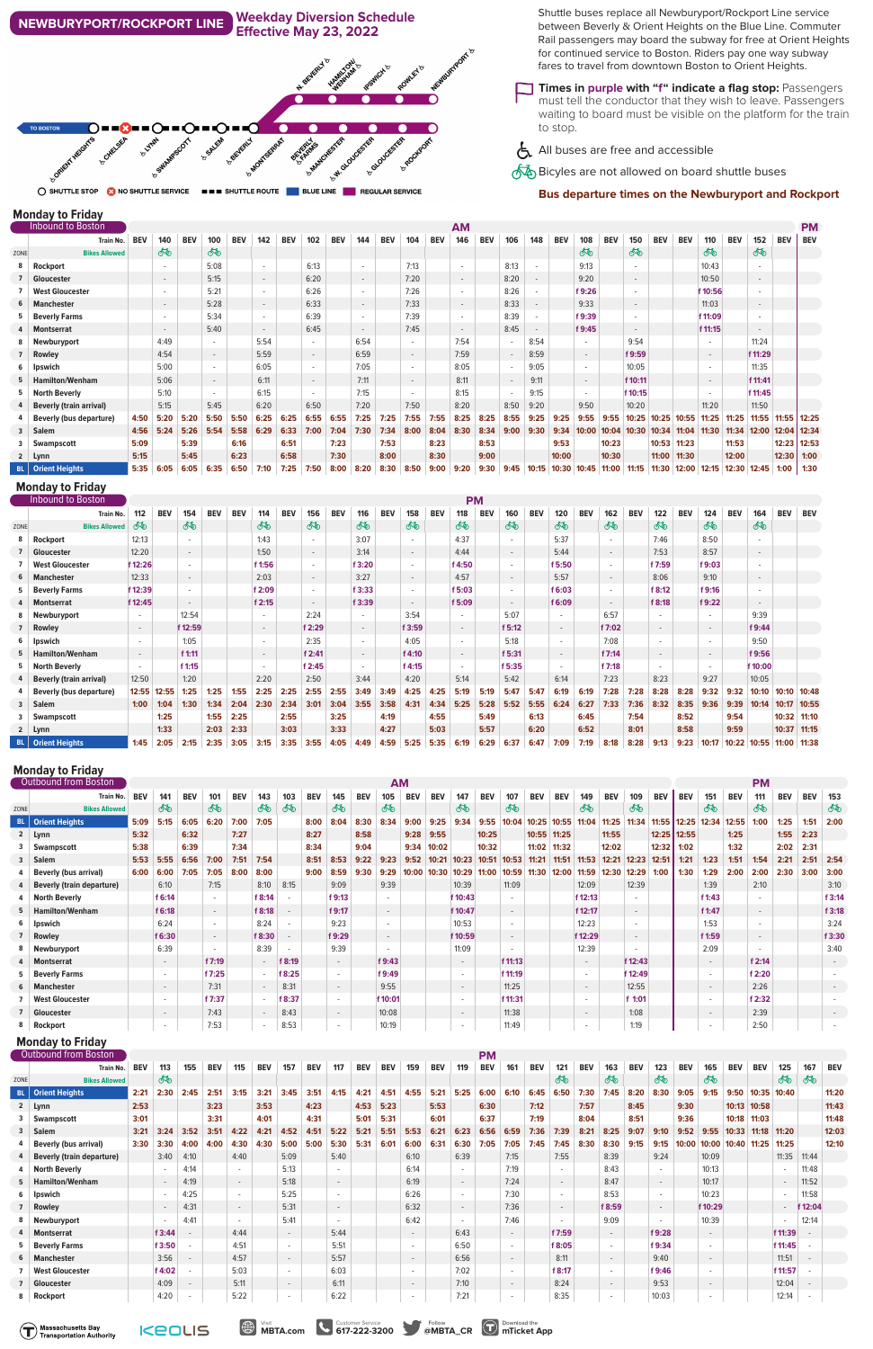# **Monday to Friday**

K

ı

|      | <b>Inbound to Boston</b>       |            |        | <b>AM</b><br><b>BEV</b><br><b>BEV</b><br>142<br><b>BEV</b><br>144<br><b>BEV</b><br>100<br>102<br><b>BEV</b><br><b>BEV</b><br>104 |                          |      |        |      |                          |      |                          |      |        |      |                          |            |        |                          |            |        |            |                          |            |            |                          |             |         |                 | <b>PM</b>  |
|------|--------------------------------|------------|--------|----------------------------------------------------------------------------------------------------------------------------------|--------------------------|------|--------|------|--------------------------|------|--------------------------|------|--------|------|--------------------------|------------|--------|--------------------------|------------|--------|------------|--------------------------|------------|------------|--------------------------|-------------|---------|-----------------|------------|
|      | <b>Train No.</b>               | <b>BEV</b> | 140    |                                                                                                                                  |                          |      |        |      |                          |      |                          |      |        |      | 146                      | <b>BEV</b> | 106    | 148                      | <b>BEV</b> | 108    | <b>BEV</b> | 150                      | <b>BEV</b> | <b>BEV</b> | 110                      | <b>BEV</b>  | 152     | <b>BEV</b>      | <b>BEV</b> |
| ZONE | <b>Bikes Allowed</b>           |            | ௸      |                                                                                                                                  | ෯                        |      |        |      |                          |      |                          |      |        |      |                          |            |        |                          |            | ௸      |            | ௸                        |            |            | ௸                        |             | ௸       |                 |            |
| 8    | Rockport                       |            |        |                                                                                                                                  | 5:08                     |      | $\sim$ |      | 6:13                     |      | $\overline{\phantom{a}}$ |      | 7:13   |      | $\sim$                   |            | 8:13   |                          |            | 9:13   |            |                          |            |            | 10:43                    |             |         |                 |            |
|      | Gloucester                     |            | $\sim$ |                                                                                                                                  | 5:15                     |      | $\sim$ |      | 6:20                     |      | $\sim$                   |      | 7:20   |      | $\overline{\phantom{a}}$ |            | 8:20   |                          |            | 9:20   |            | $\overline{\phantom{a}}$ |            |            | 10:50                    |             | $\sim$  |                 |            |
|      | <b>West Gloucester</b>         |            |        |                                                                                                                                  | 5:21                     |      | $\sim$ |      | 6:26                     |      | $\sim$                   |      | 7:26   |      | $\sim$                   |            | 8:26   |                          |            | f 9:26 |            |                          |            |            | f 10:56                  |             |         |                 |            |
| 6    | Manchester                     |            | $\sim$ |                                                                                                                                  | 5:28                     |      | $\sim$ |      | 6:33                     |      | $\sim$                   |      | 7:33   |      | $\overline{\phantom{a}}$ |            | 8:33   | $\overline{\phantom{a}}$ |            | 9:33   |            | $\overline{\phantom{a}}$ |            |            | 11:03                    |             | $\sim$  |                 |            |
|      | 5 Beverly Farms                |            | $\sim$ |                                                                                                                                  | 5:34                     |      | $\sim$ |      | 6:39                     |      | $\sim$                   |      | 7:39   |      | $\sim$                   |            | 8:39   |                          |            | f 9:39 |            |                          |            |            | f 11:09                  |             |         |                 |            |
|      | Montserrat                     |            | $\sim$ |                                                                                                                                  | 5:40                     |      | $\sim$ |      | 6:45                     |      | $\sim$                   |      | 7:45   |      | $\sim$                   |            | 8:45   | $\overline{\phantom{a}}$ |            | f 9:45 |            | $\sim$                   |            |            | f 11:15                  |             | $\sim$  |                 |            |
|      | 8 Newburyport                  |            | 4:49   |                                                                                                                                  |                          |      | 5:54   |      |                          |      | 6:54                     |      |        |      | 7:54                     |            |        | 8:54                     |            |        |            | 9:54                     |            |            | $\sim$                   |             | 11:24   |                 |            |
|      | 7 Rowley                       |            | 4:54   |                                                                                                                                  | $\sim$                   |      | 5:59   |      |                          |      | 6:59                     |      | $\sim$ |      | 7:59                     |            |        | 8:59                     |            | $\sim$ |            | f 9:59                   |            |            | $\sim$                   |             | f 11:29 |                 |            |
|      | 6   Ipswich                    |            | 5:00   |                                                                                                                                  | $\overline{\phantom{a}}$ |      | 6:05   |      |                          |      | 7:05                     |      | $\sim$ |      | 8:05                     |            |        | 9:05                     |            |        |            | 10:05                    |            |            | $\overline{\phantom{a}}$ |             | 11:35   |                 |            |
|      | 5 Hamilton/Wenham              |            | 5:06   |                                                                                                                                  | $\sim$                   |      | 6:11   |      | $\overline{\phantom{a}}$ |      | 7:11                     |      | $\sim$ |      | 8:11                     |            | $\sim$ | 9:11                     |            | $\sim$ |            | f 10:11                  |            |            | $-$                      |             | f 11:41 |                 |            |
| 5    | North Beverly                  |            | 5:10   |                                                                                                                                  |                          |      | 6:15   |      |                          |      | 7:15                     |      |        |      | 8:15                     |            |        | 9:15                     |            |        |            | f 10:15                  |            |            | $\sim$                   |             | f 11:45 |                 |            |
|      | <b>Beverly (train arrival)</b> |            | 5:15   |                                                                                                                                  | 5:45                     |      | 6:20   |      | 6:50                     |      | 7:20                     |      | 7:50   |      | 8:20                     |            | 8:50   | 9:20                     |            | 9:50   |            | 10:20                    |            |            | 11:20                    |             | 11:50   |                 |            |
|      | <b>Beverly (bus departure)</b> | 4:50       | 5:20   | 5:20                                                                                                                             | 5:50                     | 5:50 | 6:25   | 6:25 | 6:55                     | 6:55 | 7:25                     | 7:25 | 7:55   | 7:55 | 8:25                     | 8:25       | 8:55   | 9:25                     | 9:25       | 9:55   | 9:55       | 10:25                    | 10:25      | 10:55      | 11:25                    | 11:25       | 11:55   | 11:55           | 12:25      |
|      | 3 Salem                        | 4:56       | 5:24   | 5:26                                                                                                                             | 5:54                     | 5:58 | 6:29   | 6:33 | 7:00                     | 7:04 | 7:30                     | 7:34 | 8:00   | 8:04 | 8:30                     | 8:34       | 9:00   | 9:30                     | 9:34       | 10:00  | 10:04      | 10:30                    | 10:34      | 11:04      | 11:30                    | 11:34 12:00 |         | $12:04$   12:34 |            |
|      | Swampscott                     | 5:09       |        | 5:39                                                                                                                             |                          | 6:16 |        | 6:51 |                          | 7:23 |                          | 7:53 |        | 8:23 |                          | 8:53       |        |                          | 9:53       |        | 10:23      |                          | 10:53      | 11:23      |                          | 11:53       |         | 12:23   12:53   |            |
|      | 2 Lynn                         | 5:15       |        | 5:45                                                                                                                             |                          | 6:23 |        | 6:58 |                          | 7:30 |                          | 8:00 |        | 8:30 |                          | 9:00       |        |                          | 10:00      |        | 10:30      |                          | 11:00      | 11:30      |                          | 12:00       |         | $12:30$ 1:00    |            |
|      | <b>BL</b>   Orient Heights     | 5:35       | 6:05   | 6:05                                                                                                                             | 6:35                     | 6:50 | 7:10   | 7:25 | 7:50                     | 8:00 | 8:20                     | 8:30 | 8:50   | 9:00 | 9:20                     | 9:30       | 9:45   | 10:15                    | 10:30      | 10:45  | 11:00      | 11:15                    | 11:30      | 12:00      | 12:15                    | 12:30 12:45 |         | 1:00            | 1:30       |

|                | <b>Monday to Friday</b>        |                          |            |                          |            |            |        |            |                          |            |        |            |                          |            |        |            |        |            |                          |            |                          |            |                          |            |                          |             |         |               |            |
|----------------|--------------------------------|--------------------------|------------|--------------------------|------------|------------|--------|------------|--------------------------|------------|--------|------------|--------------------------|------------|--------|------------|--------|------------|--------------------------|------------|--------------------------|------------|--------------------------|------------|--------------------------|-------------|---------|---------------|------------|
|                | Inbound to Boston              |                          |            |                          |            |            |        |            |                          |            |        |            |                          |            |        | <b>PM</b>  |        |            |                          |            |                          |            |                          |            |                          |             |         |               |            |
|                | Train No.                      | 112                      | <b>BEV</b> | 154                      | <b>BEV</b> | <b>BEV</b> | 114    | <b>BEV</b> | 156                      | <b>BEV</b> | 116    | <b>BEV</b> | 158                      | <b>BEV</b> | 118    | <b>BEV</b> | 160    | <b>BEV</b> | 120                      | <b>BEV</b> | 162                      | <b>BEV</b> | 122                      | <b>BEV</b> | 124                      | <b>BEV</b>  | 164     | <b>BEV</b>    | <b>BEV</b> |
| ZONE           | <b>Bikes Allowed</b>           | ௸                        |            | ௸                        |            |            | ௸      |            | ௸                        |            | ෯      |            | ௸                        |            | 两      |            | ௸      |            | ௸                        |            | ௸                        |            | ௸                        |            | 两                        |             | ௸       |               |            |
| 8              | <b>Rockport</b>                | 12:13                    |            | $\sim$                   |            |            | 1:43   |            |                          |            | 3:07   |            |                          |            | 4:37   |            | $\sim$ |            | 5:37                     |            | $\sim$                   |            | 7:46                     |            | 8:50                     |             | $\sim$  |               |            |
| $\overline{7}$ | Gloucester                     | 12:20                    |            | $\overline{\phantom{a}}$ |            |            | 1:50   |            | $\overline{\phantom{a}}$ |            | 3:14   |            | $\sim$                   |            | 4:44   |            | $\sim$ |            | 5:44                     |            | $\sim$                   |            | 7:53                     |            | 8:57                     |             | $\sim$  |               |            |
|                | <b>West Gloucester</b>         | f 12:26                  |            | $\overline{\phantom{a}}$ |            |            | f 1:56 |            |                          |            | f 3:20 |            |                          |            | f 4:50 |            | $\sim$ |            | f 5:50                   |            | $\overline{\phantom{a}}$ |            | f 7:59                   |            | f 9:03                   |             | $\sim$  |               |            |
| 6              | Manchester                     | 12:33                    |            | $\sim$                   |            |            | 2:03   |            | $\overline{\phantom{a}}$ |            | 3:27   |            | $\sim$                   |            | 4:57   |            | $\sim$ |            | 5:57                     |            | $\sim$                   |            | 8:06                     |            | 9:10                     |             | $\sim$  |               |            |
| 5              | <b>Beverly Farms</b>           | f 12:39                  |            | $\sim$                   |            |            | f 2:09 |            |                          |            | f 3:33 |            | $\sim$                   |            | f 5:03 |            | $\sim$ |            | f 6:03                   |            | $\overline{\phantom{a}}$ |            | f 8:12                   |            | f 9:16                   |             | $\sim$  |               |            |
| 4              | Montserrat                     | f 12:45                  |            | $\sim$                   |            |            | f2:15  |            |                          |            | f 3:39 |            | $\overline{\phantom{a}}$ |            | f 5:09 |            | $\sim$ |            | f 6:09                   |            | $\sim$                   |            | f 8:18                   |            | f 9:22                   |             | $\sim$  |               |            |
| 8              | Newburyport                    |                          |            | 12:54                    |            |            |        |            | 2:24                     |            | $\sim$ |            | 3:54                     |            |        |            | 5:07   |            |                          |            | 6:57                     |            | $\sim$                   |            |                          |             | 9:39    |               |            |
|                | Rowley                         | $\overline{\phantom{a}}$ |            | f 12:59                  |            |            | $\sim$ |            | f 2:29                   |            | $\sim$ |            | f 3:59                   |            | $\sim$ |            | f5:12  |            | $\overline{\phantom{a}}$ |            | f 7:02                   |            | $\sim$                   |            | $\sim$                   |             | f 9:44  |               |            |
| 6              | Ipswich                        |                          |            | 1:05                     |            |            |        |            | 2:35                     |            | $\sim$ |            | 4:05                     |            |        |            | 5:18   |            |                          |            | 7:08                     |            | $\overline{\phantom{a}}$ |            | $\overline{\phantom{a}}$ |             | 9:50    |               |            |
| 5              | <b>Hamilton/Wenham</b>         | $\overline{\phantom{a}}$ |            | f1:11                    |            |            | $\sim$ |            | f 2:41                   |            | $\sim$ |            | f 4:10                   |            | $\sim$ |            | f 5:31 |            | $\overline{\phantom{a}}$ |            | f7:14                    |            | $\sim$                   |            | $\sim$                   |             | f 9:56  |               |            |
| 5              | <b>North Beverly</b>           |                          |            | f1:15                    |            |            |        |            | f 2:45                   |            | $\sim$ |            | f 4:15                   |            |        |            | f 5:35 |            |                          |            | f 7:18                   |            | $\overline{\phantom{a}}$ |            | $\sim$                   |             | f 10:00 |               |            |
| 4              | <b>Beverly (train arrival)</b> | 12:50                    |            | 1:20                     |            |            | 2:20   |            | 2:50                     |            | 3:44   |            | 4:20                     |            | 5:14   |            | 5:42   |            | 6:14                     |            | 7:23                     |            | 8:23                     |            | 9:27                     |             | 10:05   |               |            |
| 4              | <b>Beverly (bus departure)</b> | 12:55                    | 12:55      | 1:25                     | 1:25       | 1:55       | 2:25   | 2:25       | 2:55                     | 2:55       | 3:49   | 3:49       | 4:25                     | 4:25       | 5:19   | 5:19       | 5:47   | 5:47       | 6:19                     | 6:19       | 7:28                     | 7:28       | 8:28                     | 8:28       | 9:32                     | 9:32        | 10:10   | 10:10 10:48   |            |
|                | 3 Salem                        | 1:00                     | 1:04       | 1:30                     | 1:34       | 2:04       | 2:30   | 2:34       | 3:01                     | 3:04       | 3:55   | 3:58       | 4:31                     | 4:34       | 5:25   | 5:28       | 5:52   | 5:55       | 6:24                     | 6:27       | 7:33                     | 7:36       | 8:32                     | 8:35       | 9:36                     | 9:39        | 10:14   | 10:17 10:55   |            |
| 3              | Swampscott                     |                          | 1:25       |                          | 1:55       | 2:25       |        | 2:55       |                          | 3:25       |        | 4:19       |                          | 4:55       |        | 5:49       |        | 6:13       |                          | 6:45       |                          | 7:54       |                          | 8:52       |                          | 9:54        |         | $10:32$ 11:10 |            |
|                | 2 Lynn                         |                          | 1:33       |                          | 2:03       | 2:33       |        | 3:03       |                          | 3:33       |        | 4:27       |                          | 5:03       |        | 5:57       |        | 6:20       |                          | 6:52       |                          | 8:01       |                          | 8:58       |                          | 9:59        |         | 10:37 11:15   |            |
|                | <b>BL</b>   Orient Heights     | 1:45                     | 2:05       | 2:15                     | 2:35       | 3:05       | 3:15   | 3:35       | 3:55                     | 4:05       | 4:49   | 4:59       | 5:25                     | 5:35       | 6:19   | 6:29       | 6:37   | 6:47       | 7:09                     | 7:19       | 8:18                     | 8:28       | 9:13                     | 9:23       | 10:17                    | 10:22 10:55 |         | 11:00 11:38   |            |



○ SHUTTLE STOP ● NO SHUTTLE SERVICE ■■■ SHUTTLE ROUTE BLUE LINE ■ REGULAR SERVICE

Shuttle buses replace all Newburyport/Rockport Line service between Beverly & Orient Heights on the Blue Line. Commuter Rail passengers may board the subway for free at Orient Heights for continued service to Boston. Riders pay one way subway fares to travel from downtown Boston to Orient Heights.

#### **Monday to Friday** Outbound from Boston **AM PM** Train No. | BEV | 141 | BEV | 101 | BEV | 143 | 103 | BEV | 145 | BEV | 105 | BEV | BEV | 147 | BEV | BEV | BEV | 149 | BEV | 109 | BEV | BEV | 151 | BEV | 111 | BEV | BEV | 153 ෯ ௸ ௸ ෯ ෯ ௸ ௸ ௸ ௸ ௸ ௸ ZONE **Bikes Allowed** BL 07ient Heights 5:09 5:15 6:05 6:20 7:00 7:05 8:00 8:04 8:30 8:34 9:00 9:25 9:34 9:55 10:04 10:25 11:04 11:25 11:34 11:55 12:35 12:34 12:55 1:00 1:25 1:51 2:00 **2 Lynn 5:32 6:32 7:27 8:27 8:58 9:28 9:55 10:25 10:55 11:25 11:55 12:25 12:55 1:25 1:55 2:23 3 Swampscott 5:38 6:39 7:34 8:34 9:04 9:34 10:02 10:32 11:02 11:32 12:02 12:32 1:02 1:32 2:02 2:31** 3 Salem 5:53 5:55 6:56 7:00 7:51 7:54 8:51 8:53 9:22 9:23 9:52 10:21 10:23 10:51 10:53 11:21 11:51 11:53 12:21 12:23 12:51 1:21 1:23 1:51 1:54 2:21 2:51 2:54 2:51 4 Beverly (bus arrival) 6:00 6:00 7:05 7:05 8:00 8:00 9:00 8:59 9:30 9:29 10:00 |10:30 |10:29 11:00 |10:59 11:30 |12:00 |11:59 12:30 |12:29 1:00 | 1:30 1:29 2:00 | 2:00 | 2:00 | 3:00 | 3:00 | 3:00 **4 Beverly (train departure)** 6:10 7:15 8:10 8:15 9:09 9:39 10:39 11:09 12:09 12:39 1:39 2:10 3:10 **4 North Beverly f 6:14** - **f 8:14** - **f 9:13** - **f 10:43** - **f 12:13** - **f 1:43** - **f 3:14 5 Hamilton/Wenham f 6:18** - **f 8:18** - **f 9:17** - **f 10:47** - **f 12:17** - **f 1:47** - **f 3:18 6 Ipswich** 6:24 - 8:24 - 9:23 - 10:53 - 12:23 - 1:53 - 3:24 **7 Rowley f 6:30** - **f 8:30** - **f 9:29** - **f 10:59** - **f 12:29** - **f 1:59** - **f 3:30 8 Newburyport** 6:39 - 8:39 - 9:39 - 11:09 - 12:39 - 2:09 - 3:40 **4 Montserrat** - **f 7:19** - **f 8:19** - **f 9:43** - **f 11:13** - **f 12:43** - **f 2:14** - **5 Beverly Farms** - **f 7:25** - **f 8:25** - **f 9:49** - **f 11:19** - **f 12:49** - **f 2:20** - **6 Manchester** - 7:31 - 8:31 - 9:55 - 11:25 - 12:55 - 2:26 -

| <b>West Gloucester</b> |  | $f = 7:37$ |  | f 8:37        |  | f 10:01 |  |  | f 11:31 |  | $f$ 1:01  |  |  | f2:32 |  |  |
|------------------------|--|------------|--|---------------|--|---------|--|--|---------|--|-----------|--|--|-------|--|--|
| Gloucester             |  | 7:43       |  | 8:43          |  | 10:08   |  |  | 11:38   |  | 1:08      |  |  | 2:39  |  |  |
| Rockport               |  | 7:53       |  | - - -<br>8:53 |  | 10:19   |  |  | 11:49   |  | 1.19<br>. |  |  | 2:50  |  |  |

## **Monday to Friday**

|                | <b>Outbound from Boston</b>      |            |        |        |            |        |            |        |            |        |            |            |                          |            |        | <b>PM</b>  |        |            |                          |            |        |            |        |            |         |             |            |                          |         |            |
|----------------|----------------------------------|------------|--------|--------|------------|--------|------------|--------|------------|--------|------------|------------|--------------------------|------------|--------|------------|--------|------------|--------------------------|------------|--------|------------|--------|------------|---------|-------------|------------|--------------------------|---------|------------|
|                | Train No.                        | <b>BEV</b> | 113    | 155    | <b>BEV</b> | 115    | <b>BEV</b> | 157    | <b>BEV</b> | 117    | <b>BEV</b> | <b>BEV</b> | 159                      | <b>BEV</b> | 119    | <b>BEV</b> | 161    | <b>BEV</b> | 121                      | <b>BEV</b> | 163    | <b>BEV</b> | 123    | <b>BEV</b> | 165     | <b>BEV</b>  | <b>BEV</b> | 125                      | 167     | <b>BEV</b> |
| ZONE           | <b>Bikes Allowed</b>             |            | 两      |        |            |        |            |        |            |        |            |            |                          |            |        |            |        |            | ௸                        |            | ෯      |            | ௸      |            | ௸       |             |            | 两                        | ௸       |            |
| -BL            | <b>Orient Heights</b>            | 2:21       | 2:30   | 2:45   | 2:51       | 3:15   | 3:21       | 3:45   | 3:51       | 4:15   | 4:21       | 4:51       | 4:55                     | 5:21       | 5:25   | 6:00       | 6:10   | 6:45       | 6:50                     | 7:30       | 7:45   | 8:20       | 8:30   | 9:05       | 9:15    | 9:50        | 10:35      | 10:40                    |         | 11:20      |
| $\overline{2}$ | Lynn                             | 2:53       |        |        | 3:23       |        | 3:53       |        | 4:23       |        | 4:53       | 5:23       |                          | 5:53       |        | 6:30       |        | 7:12       |                          | 7:57       |        | 8:45       |        | 9:30       |         | 10:13       | 10:58      |                          |         | 11:43      |
|                | <b>Swampscott</b>                | 3:01       |        |        | 3:31       |        | 4:01       |        | 4:31       |        | 5:01       | 5:31       |                          | 6:01       |        | 6:37       |        | 7:19       |                          | 8:04       |        | 8:51       |        | 9:36       |         | 10:18       | 11:03      |                          |         | 11:48      |
| $\mathbf{3}$   | Salem                            | 3:21       | 3:24   | 3:52   | 3:51       | 4:22   | 4:21       | 4:52   | 4:51       | 5:22   | 5:21       | 5:51       | 5:53                     | 6:21       | 6:23   | 6:56       | 6:59   | 7:36       | 7:39                     | 8:21       | 8:25   | 9:07       | 9:10   | 9:52       | 9:55    | 10:33       | 11:18      | 11:20                    |         | 12:03      |
|                | <b>Beverly (bus arrival)</b>     | 3:30       | 3:30   | 4:00   | 4:00       | 4:30   | 4:30       | 5:00   | 5:00       | 5:30   | 5:31       | 6:01       | 6:00                     | 6:31       | 6:30   | 7:05       | 7:05   | 7:45       | 7:45                     | 8:30       | 8:30   | 9:15       | 9:15   | 10:00      |         | 10:00 10:40 | 11:25      | 11:25                    |         | 12:10      |
| 4              | <b>Beverly (train departure)</b> |            | 3:40   | 4:10   |            | 4:40   |            | 5:09   |            | 5:40   |            |            | 6:10                     |            | 6:39   |            | 7:15   |            | 7:55                     |            | 8:39   |            | 9:24   |            | 10:09   |             |            | 11:35                    | 11:44   |            |
|                | <b>North Beverly</b>             |            |        | 4:14   |            |        |            | 5:13   |            |        |            |            | 6:14                     |            |        |            | 7:19   |            | $\sim$                   |            | 8:43   |            | $\sim$ |            | 10:13   |             |            | $\sim$                   | 11:48   |            |
| 5 <sub>1</sub> | <b>Hamilton/Wenham</b>           |            | $\sim$ | 4:19   |            | $\sim$ |            | 5:18   |            | $\sim$ |            |            | 6:19                     |            | $\sim$ |            | 7:24   |            | $\sim$                   |            | 8:47   |            | $\sim$ |            | 10:17   |             |            | $\overline{\phantom{a}}$ | 11:52   |            |
| 6              | <b>Ipswich</b>                   |            |        | 4:25   |            |        |            | 5:25   |            |        |            |            | 6:26                     |            | $\sim$ |            | 7:30   |            | $\sim$                   |            | 8:53   |            | $\sim$ |            | 10:23   |             |            | $\sim$                   | 11:58   |            |
|                | Rowley                           |            |        | 4:31   |            | $\sim$ |            | 5:31   |            | $\sim$ |            |            | 6:32                     |            | $\sim$ |            | 7:36   |            | $\sim$                   |            | f 8:59 |            | $\sim$ |            | f 10:29 |             |            |                          | f 12:04 |            |
|                | Newburyport                      |            |        | 4:41   |            |        |            | 5:41   |            |        |            |            | 6:42                     |            |        |            | 7:46   |            | $\overline{\phantom{a}}$ |            | 9:09   |            | $\sim$ |            | 10:39   |             |            |                          | 12:14   |            |
| 4              | <b>Montserrat</b>                |            | f3:44  | $\sim$ |            | 4:44   |            | $\sim$ |            | 5:44   |            |            | $\sim$                   |            | 6:43   |            | $\sim$ |            | f 7:59                   |            | $\sim$ |            | f 9:28 |            | $\sim$  |             |            | f 11:39                  |         |            |
| 5.             | <b>Beverly Farms</b>             |            | f 3:50 |        |            | 4:51   |            | $\sim$ |            | 5:51   |            |            | $\overline{\phantom{a}}$ |            | 6:50   |            | $\sim$ |            | f 8:05                   |            |        |            | f 9:34 |            |         |             |            | f 11:45                  |         |            |
| 6 <sup>1</sup> | <b>Manchester</b>                |            | 3:56   | $\sim$ |            | 4:57   |            | $\sim$ |            | 5:57   |            |            | $\sim$                   |            | 6:56   |            | $\sim$ |            | 8:11                     |            |        |            | 9:40   |            | $\sim$  |             |            | 11:51                    |         |            |
|                | <b>West Gloucester</b>           |            | f 4:02 |        |            | 5:03   |            | $\sim$ |            | 6:03   |            |            | $\overline{\phantom{a}}$ |            | 7:02   |            | $\sim$ |            | f 8:17                   |            |        |            | f 9:46 |            |         |             |            | f 11:57                  |         |            |
|                | Gloucester                       |            | 4:09   | $\sim$ |            | 5:11   |            | $\sim$ |            | 6:11   |            |            | $\sim$                   |            | 7:10   |            | $\sim$ |            | 8:24                     |            |        |            | 9:53   |            | $\sim$  |             |            | 12:04                    | $\sim$  |            |
| 8              | Rockport                         |            | 4:20   |        |            | 5:22   |            |        |            | 6:22   |            |            | $\sim$                   |            | 7:21   |            |        |            | 8:35                     |            |        |            | 10:03  |            |         |             |            | 12:14                    |         |            |

Visit MBTA.com **Customer Service**<br> **MBTA.com 617-222-3200 @MBTA\_CR** D**mTicket App** 

Massachusetts Bay<br>
Transportation Authority



**Times in purple with "f" indicate a flag stop:** Passengers must tell the conductor that they wish to leave. Passengers waiting to board must be visible on the platform for the train to stop.

All buses are free and accessible

Bicyles are not allowed on board shuttle buses

### **Bus departure times on the Newburyport and Rockport**

௸